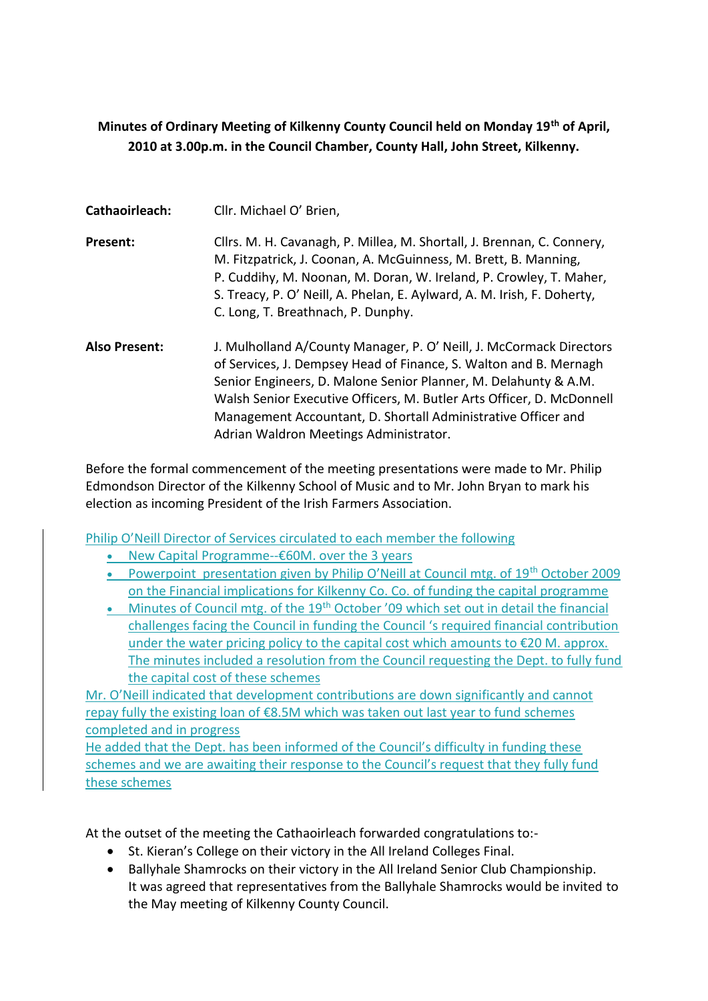# **Minutes of Ordinary Meeting of Kilkenny County Council held on Monday 19th of April, 2010 at 3.00p.m. in the Council Chamber, County Hall, John Street, Kilkenny.**

| Cathaoirleach:       | Cllr. Michael O' Brien,                                                                                                                                                                                                                                                                                                                                                                         |
|----------------------|-------------------------------------------------------------------------------------------------------------------------------------------------------------------------------------------------------------------------------------------------------------------------------------------------------------------------------------------------------------------------------------------------|
| Present:             | Cllrs. M. H. Cavanagh, P. Millea, M. Shortall, J. Brennan, C. Connery,<br>M. Fitzpatrick, J. Coonan, A. McGuinness, M. Brett, B. Manning,<br>P. Cuddihy, M. Noonan, M. Doran, W. Ireland, P. Crowley, T. Maher,<br>S. Treacy, P. O' Neill, A. Phelan, E. Aylward, A. M. Irish, F. Doherty,<br>C. Long, T. Breathnach, P. Dunphy.                                                                |
| <b>Also Present:</b> | J. Mulholland A/County Manager, P. O' Neill, J. McCormack Directors<br>of Services, J. Dempsey Head of Finance, S. Walton and B. Mernagh<br>Senior Engineers, D. Malone Senior Planner, M. Delahunty & A.M.<br>Walsh Senior Executive Officers, M. Butler Arts Officer, D. McDonnell<br>Management Accountant, D. Shortall Administrative Officer and<br>Adrian Waldron Meetings Administrator. |

Before the formal commencement of the meeting presentations were made to Mr. Philip Edmondson Director of the Kilkenny School of Music and to Mr. John Bryan to mark his election as incoming President of the Irish Farmers Association.

Philip O'Neill Director of Services circulated to each member the following

- New Capital Programme--€60M. over the 3 years
- Powerpoint presentation given by Philip O'Neill at Council mtg. of 19<sup>th</sup> October 2009 on the Financial implications for Kilkenny Co. Co. of funding the capital programme
- Minutes of Council mtg. of the 19<sup>th</sup> October '09 which set out in detail the financial challenges facing the Council in funding the Council 's required financial contribution under the water pricing policy to the capital cost which amounts to  $\epsilon$ 20 M. approx. The minutes included a resolution from the Council requesting the Dept. to fully fund the capital cost of these schemes

Mr. O'Neill indicated that development contributions are down significantly and cannot repay fully the existing loan of €8.5M which was taken out last year to fund schemes completed and in progress

He added that the Dept. has been informed of the Council's difficulty in funding these schemes and we are awaiting their response to the Council's request that they fully fund these schemes

At the outset of the meeting the Cathaoirleach forwarded congratulations to:-

- St. Kieran's College on their victory in the All Ireland Colleges Final.
- Ballyhale Shamrocks on their victory in the All Ireland Senior Club Championship. It was agreed that representatives from the Ballyhale Shamrocks would be invited to the May meeting of Kilkenny County Council.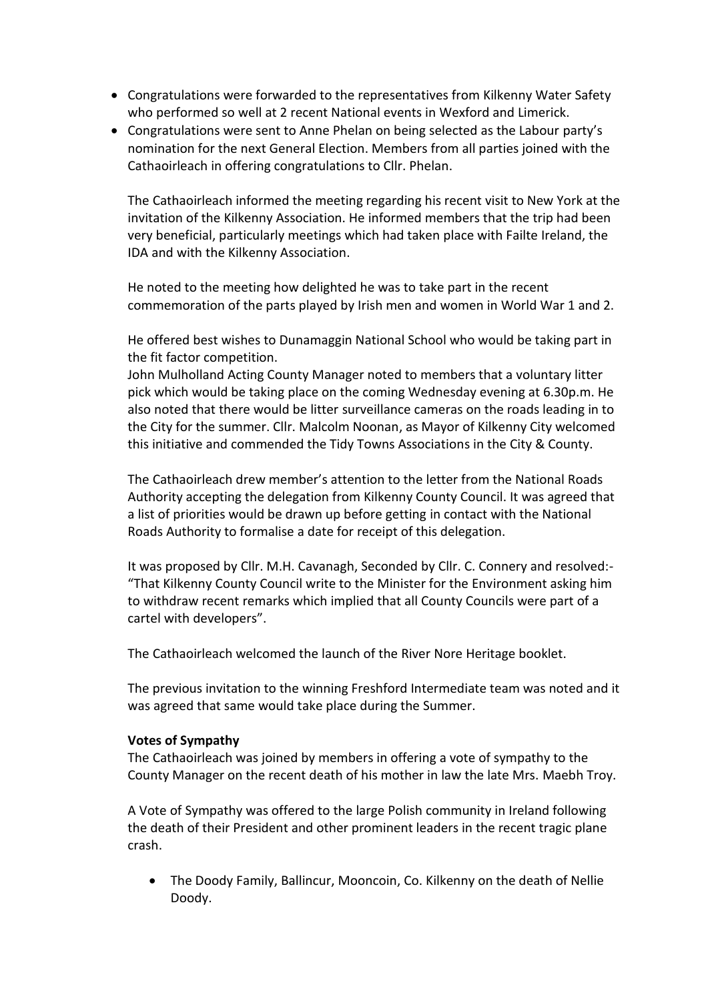- Congratulations were forwarded to the representatives from Kilkenny Water Safety who performed so well at 2 recent National events in Wexford and Limerick.
- Congratulations were sent to Anne Phelan on being selected as the Labour party's nomination for the next General Election. Members from all parties joined with the Cathaoirleach in offering congratulations to Cllr. Phelan.

The Cathaoirleach informed the meeting regarding his recent visit to New York at the invitation of the Kilkenny Association. He informed members that the trip had been very beneficial, particularly meetings which had taken place with Failte Ireland, the IDA and with the Kilkenny Association.

He noted to the meeting how delighted he was to take part in the recent commemoration of the parts played by Irish men and women in World War 1 and 2.

He offered best wishes to Dunamaggin National School who would be taking part in the fit factor competition.

John Mulholland Acting County Manager noted to members that a voluntary litter pick which would be taking place on the coming Wednesday evening at 6.30p.m. He also noted that there would be litter surveillance cameras on the roads leading in to the City for the summer. Cllr. Malcolm Noonan, as Mayor of Kilkenny City welcomed this initiative and commended the Tidy Towns Associations in the City & County.

The Cathaoirleach drew member's attention to the letter from the National Roads Authority accepting the delegation from Kilkenny County Council. It was agreed that a list of priorities would be drawn up before getting in contact with the National Roads Authority to formalise a date for receipt of this delegation.

It was proposed by Cllr. M.H. Cavanagh, Seconded by Cllr. C. Connery and resolved:- "That Kilkenny County Council write to the Minister for the Environment asking him to withdraw recent remarks which implied that all County Councils were part of a cartel with developers".

The Cathaoirleach welcomed the launch of the River Nore Heritage booklet.

The previous invitation to the winning Freshford Intermediate team was noted and it was agreed that same would take place during the Summer.

#### **Votes of Sympathy**

The Cathaoirleach was joined by members in offering a vote of sympathy to the County Manager on the recent death of his mother in law the late Mrs. Maebh Troy.

A Vote of Sympathy was offered to the large Polish community in Ireland following the death of their President and other prominent leaders in the recent tragic plane crash.

• The Doody Family, Ballincur, Mooncoin, Co. Kilkenny on the death of Nellie Doody.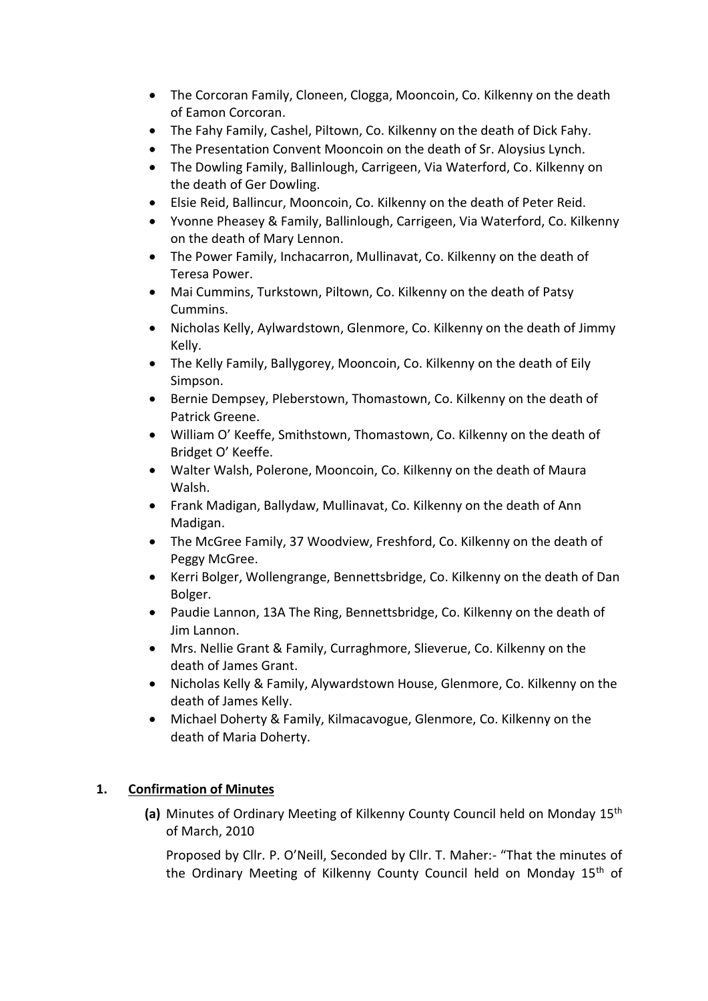- The Corcoran Family, Cloneen, Clogga, Mooncoin, Co. Kilkenny on the death of Eamon Corcoran.
- The Fahy Family, Cashel, Piltown, Co. Kilkenny on the death of Dick Fahy.
- The Presentation Convent Mooncoin on the death of Sr. Aloysius Lynch.
- The Dowling Family, Ballinlough, Carrigeen, Via Waterford, Co. Kilkenny on the death of Ger Dowling.
- Elsie Reid, Ballincur, Mooncoin, Co. Kilkenny on the death of Peter Reid.
- Yvonne Pheasey & Family, Ballinlough, Carrigeen, Via Waterford, Co. Kilkenny on the death of Mary Lennon.
- The Power Family, Inchacarron, Mullinavat, Co. Kilkenny on the death of Teresa Power.
- Mai Cummins, Turkstown, Piltown, Co. Kilkenny on the death of Patsy Cummins.
- Nicholas Kelly, Aylwardstown, Glenmore, Co. Kilkenny on the death of Jimmy Kelly.
- The Kelly Family, Ballygorey, Mooncoin, Co. Kilkenny on the death of Eily Simpson.
- Bernie Dempsey, Pleberstown, Thomastown, Co. Kilkenny on the death of Patrick Greene.
- William O' Keeffe, Smithstown, Thomastown, Co. Kilkenny on the death of Bridget O' Keeffe.
- Walter Walsh, Polerone, Mooncoin, Co. Kilkenny on the death of Maura Walsh.
- Frank Madigan, Ballydaw, Mullinavat, Co. Kilkenny on the death of Ann Madigan.
- The McGree Family, 37 Woodview, Freshford, Co. Kilkenny on the death of Peggy McGree.
- Kerri Bolger, Wollengrange, Bennettsbridge, Co. Kilkenny on the death of Dan Bolger.
- Paudie Lannon, 13A The Ring, Bennettsbridge, Co. Kilkenny on the death of Jim Lannon.
- Mrs. Nellie Grant & Family, Curraghmore, Slieverue, Co. Kilkenny on the death of James Grant.
- Nicholas Kelly & Family, Alywardstown House, Glenmore, Co. Kilkenny on the death of James Kelly.
- Michael Doherty & Family, Kilmacavogue, Glenmore, Co. Kilkenny on the death of Maria Doherty.

# **1. Confirmation of Minutes**

**(a)** Minutes of Ordinary Meeting of Kilkenny County Council held on Monday 15th of March, 2010

Proposed by Cllr. P. O'Neill, Seconded by Cllr. T. Maher:- "That the minutes of the Ordinary Meeting of Kilkenny County Council held on Monday 15<sup>th</sup> of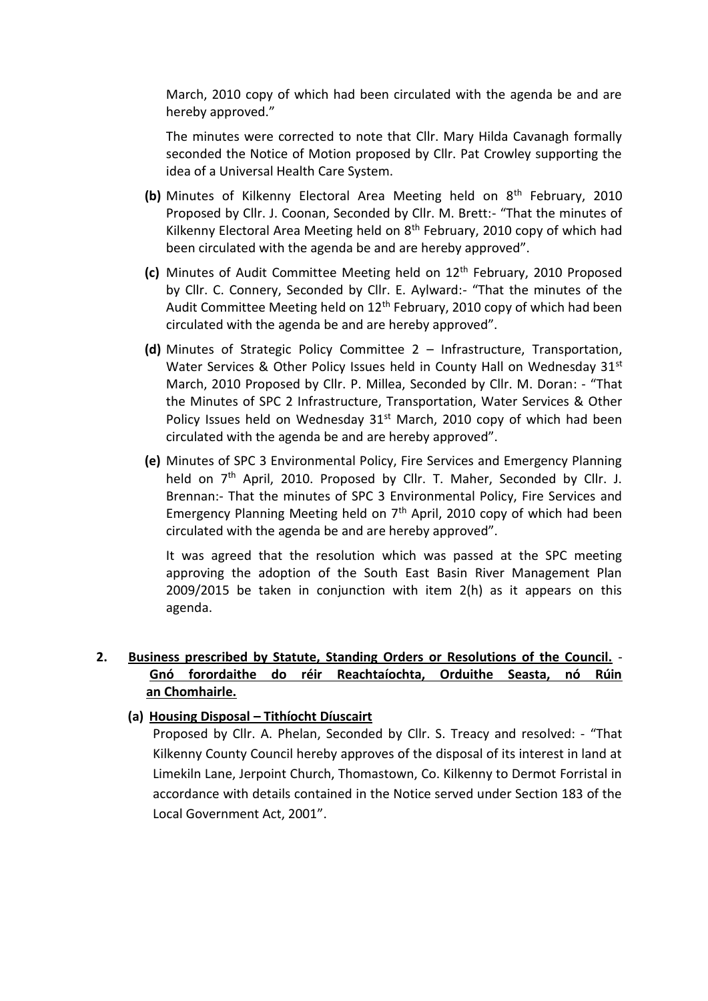March, 2010 copy of which had been circulated with the agenda be and are hereby approved."

The minutes were corrected to note that Cllr. Mary Hilda Cavanagh formally seconded the Notice of Motion proposed by Cllr. Pat Crowley supporting the idea of a Universal Health Care System.

- **(b)** Minutes of Kilkenny Electoral Area Meeting held on 8th February, 2010 Proposed by Cllr. J. Coonan, Seconded by Cllr. M. Brett:- "That the minutes of Kilkenny Electoral Area Meeting held on  $8<sup>th</sup>$  February, 2010 copy of which had been circulated with the agenda be and are hereby approved".
- **(c)** Minutes of Audit Committee Meeting held on 12th February, 2010 Proposed by Cllr. C. Connery, Seconded by Cllr. E. Aylward:- "That the minutes of the Audit Committee Meeting held on  $12<sup>th</sup>$  February, 2010 copy of which had been circulated with the agenda be and are hereby approved".
- **(d)** Minutes of Strategic Policy Committee 2 Infrastructure, Transportation, Water Services & Other Policy Issues held in County Hall on Wednesday  $31<sup>st</sup>$ March, 2010 Proposed by Cllr. P. Millea, Seconded by Cllr. M. Doran: - "That the Minutes of SPC 2 Infrastructure, Transportation, Water Services & Other Policy Issues held on Wednesday  $31<sup>st</sup>$  March, 2010 copy of which had been circulated with the agenda be and are hereby approved".
- **(e)** Minutes of SPC 3 Environmental Policy, Fire Services and Emergency Planning held on 7<sup>th</sup> April, 2010. Proposed by Cllr. T. Maher, Seconded by Cllr. J. Brennan:- That the minutes of SPC 3 Environmental Policy, Fire Services and Emergency Planning Meeting held on  $7<sup>th</sup>$  April, 2010 copy of which had been circulated with the agenda be and are hereby approved".

It was agreed that the resolution which was passed at the SPC meeting approving the adoption of the South East Basin River Management Plan 2009/2015 be taken in conjunction with item 2(h) as it appears on this agenda.

# **2. Business prescribed by Statute, Standing Orders or Resolutions of the Council.** - **Gnó forordaithe do réir Reachtaíochta, Orduithe Seasta, nó Rúin an Chomhairle.**

#### **(a) Housing Disposal – Tithíocht Díuscairt**

Proposed by Cllr. A. Phelan, Seconded by Cllr. S. Treacy and resolved: - "That Kilkenny County Council hereby approves of the disposal of its interest in land at Limekiln Lane, Jerpoint Church, Thomastown, Co. Kilkenny to Dermot Forristal in accordance with details contained in the Notice served under Section 183 of the Local Government Act, 2001".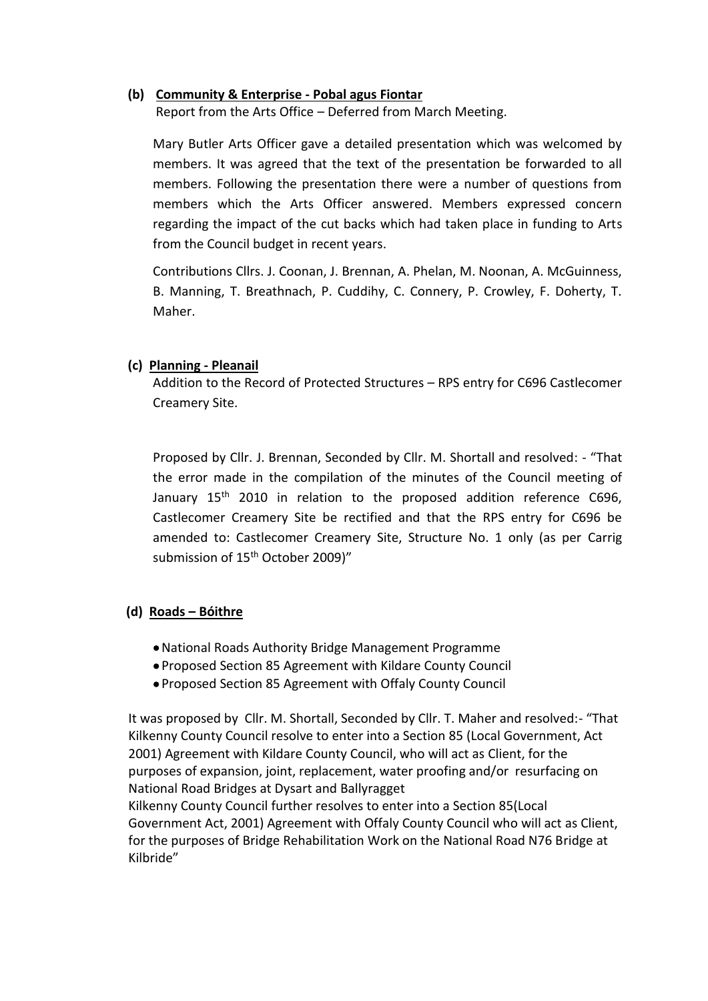### **(b) Community & Enterprise - Pobal agus Fiontar**

Report from the Arts Office – Deferred from March Meeting.

Mary Butler Arts Officer gave a detailed presentation which was welcomed by members. It was agreed that the text of the presentation be forwarded to all members. Following the presentation there were a number of questions from members which the Arts Officer answered. Members expressed concern regarding the impact of the cut backs which had taken place in funding to Arts from the Council budget in recent years.

Contributions Cllrs. J. Coonan, J. Brennan, A. Phelan, M. Noonan, A. McGuinness, B. Manning, T. Breathnach, P. Cuddihy, C. Connery, P. Crowley, F. Doherty, T. Maher.

# **(c) Planning - Pleanail**

Addition to the Record of Protected Structures – RPS entry for C696 Castlecomer Creamery Site.

Proposed by Cllr. J. Brennan, Seconded by Cllr. M. Shortall and resolved: - "That the error made in the compilation of the minutes of the Council meeting of January 15<sup>th</sup> 2010 in relation to the proposed addition reference C696, Castlecomer Creamery Site be rectified and that the RPS entry for C696 be amended to: Castlecomer Creamery Site, Structure No. 1 only (as per Carrig submission of 15<sup>th</sup> October 2009)"

# **(d) Roads – Bóithre**

- •National Roads Authority Bridge Management Programme
- Proposed Section 85 Agreement with Kildare County Council
- Proposed Section 85 Agreement with Offaly County Council

It was proposed by Cllr. M. Shortall, Seconded by Cllr. T. Maher and resolved:- "That Kilkenny County Council resolve to enter into a Section 85 (Local Government, Act 2001) Agreement with Kildare County Council, who will act as Client, for the purposes of expansion, joint, replacement, water proofing and/or resurfacing on National Road Bridges at Dysart and Ballyragget

Kilkenny County Council further resolves to enter into a Section 85(Local Government Act, 2001) Agreement with Offaly County Council who will act as Client, for the purposes of Bridge Rehabilitation Work on the National Road N76 Bridge at Kilbride"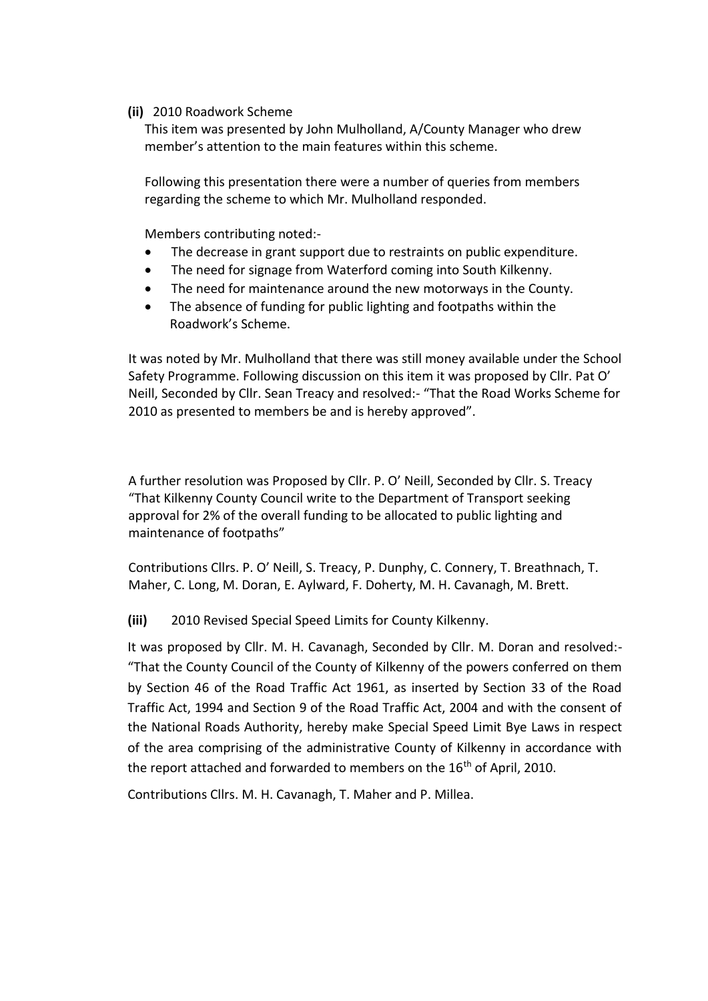#### **(ii)** 2010 Roadwork Scheme

This item was presented by John Mulholland, A/County Manager who drew member's attention to the main features within this scheme.

Following this presentation there were a number of queries from members regarding the scheme to which Mr. Mulholland responded.

Members contributing noted:-

- The decrease in grant support due to restraints on public expenditure.
- The need for signage from Waterford coming into South Kilkenny.
- The need for maintenance around the new motorways in the County.
- The absence of funding for public lighting and footpaths within the Roadwork's Scheme.

It was noted by Mr. Mulholland that there was still money available under the School Safety Programme. Following discussion on this item it was proposed by Cllr. Pat O' Neill, Seconded by Cllr. Sean Treacy and resolved:- "That the Road Works Scheme for 2010 as presented to members be and is hereby approved".

A further resolution was Proposed by Cllr. P. O' Neill, Seconded by Cllr. S. Treacy "That Kilkenny County Council write to the Department of Transport seeking approval for 2% of the overall funding to be allocated to public lighting and maintenance of footpaths"

Contributions Cllrs. P. O' Neill, S. Treacy, P. Dunphy, C. Connery, T. Breathnach, T. Maher, C. Long, M. Doran, E. Aylward, F. Doherty, M. H. Cavanagh, M. Brett.

**(iii)** 2010 Revised Special Speed Limits for County Kilkenny.

It was proposed by Cllr. M. H. Cavanagh, Seconded by Cllr. M. Doran and resolved:- "That the County Council of the County of Kilkenny of the powers conferred on them by Section 46 of the Road Traffic Act 1961, as inserted by Section 33 of the Road Traffic Act, 1994 and Section 9 of the Road Traffic Act, 2004 and with the consent of the National Roads Authority, hereby make Special Speed Limit Bye Laws in respect of the area comprising of the administrative County of Kilkenny in accordance with the report attached and forwarded to members on the 16<sup>th</sup> of April, 2010.

Contributions Cllrs. M. H. Cavanagh, T. Maher and P. Millea.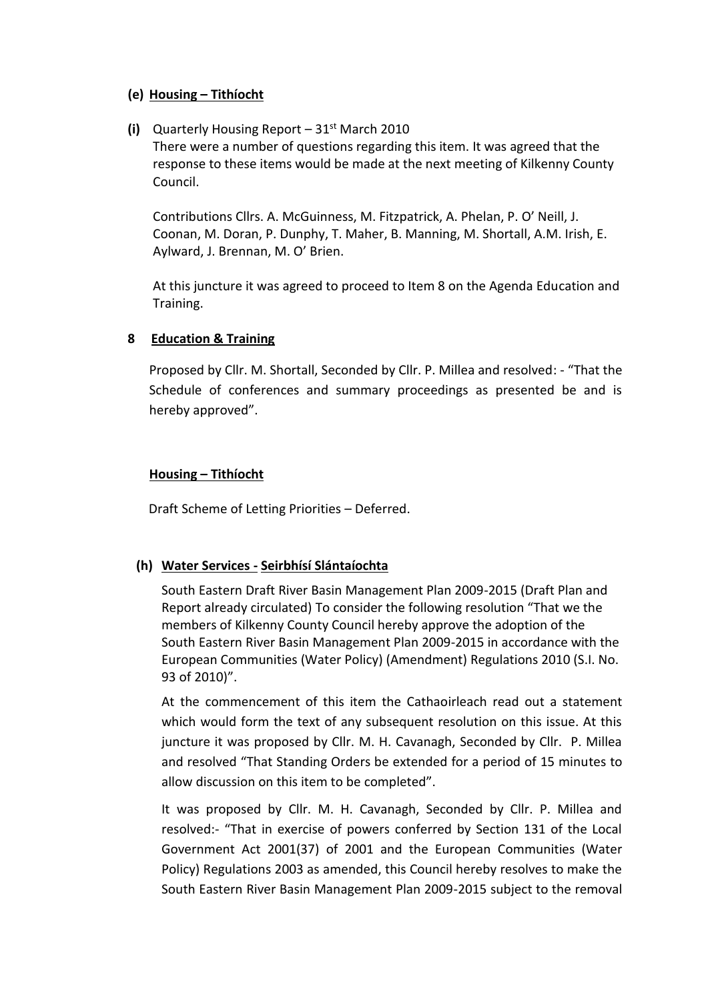#### **(e) Housing – Tithíocht**

**(i)** Quarterly Housing Report – 31st March 2010

There were a number of questions regarding this item. It was agreed that the response to these items would be made at the next meeting of Kilkenny County Council.

Contributions Cllrs. A. McGuinness, M. Fitzpatrick, A. Phelan, P. O' Neill, J. Coonan, M. Doran, P. Dunphy, T. Maher, B. Manning, M. Shortall, A.M. Irish, E. Aylward, J. Brennan, M. O' Brien.

At this juncture it was agreed to proceed to Item 8 on the Agenda Education and Training.

#### **8 Education & Training**

Proposed by Cllr. M. Shortall, Seconded by Cllr. P. Millea and resolved: - "That the Schedule of conferences and summary proceedings as presented be and is hereby approved".

### **Housing – Tithíocht**

Draft Scheme of Letting Priorities – Deferred.

# **(h) Water Services - Seirbhísí Slántaíochta**

South Eastern Draft River Basin Management Plan 2009-2015 (Draft Plan and Report already circulated) To consider the following resolution "That we the members of Kilkenny County Council hereby approve the adoption of the South Eastern River Basin Management Plan 2009-2015 in accordance with the European Communities (Water Policy) (Amendment) Regulations 2010 (S.I. No. 93 of 2010)".

At the commencement of this item the Cathaoirleach read out a statement which would form the text of any subsequent resolution on this issue. At this juncture it was proposed by Cllr. M. H. Cavanagh, Seconded by Cllr. P. Millea and resolved "That Standing Orders be extended for a period of 15 minutes to allow discussion on this item to be completed".

It was proposed by Cllr. M. H. Cavanagh, Seconded by Cllr. P. Millea and resolved:- "That in exercise of powers conferred by Section 131 of the Local Government Act 2001(37) of 2001 and the European Communities (Water Policy) Regulations 2003 as amended, this Council hereby resolves to make the South Eastern River Basin Management Plan 2009-2015 subject to the removal